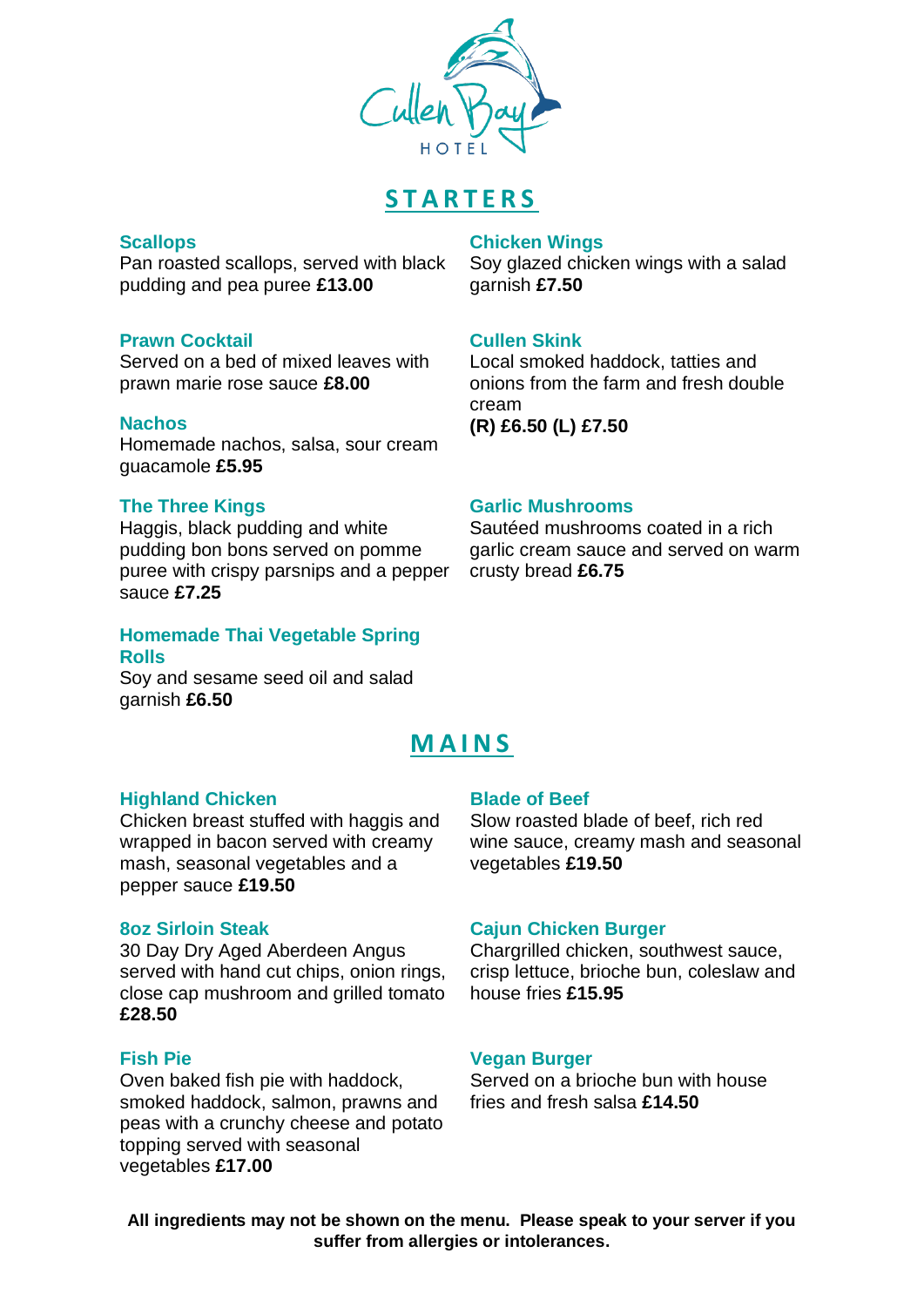

# **S T A R T E R S**

## **Scallops**

Pan roasted scallops, served with black pudding and pea puree **£13.00**

## **Prawn Cocktail**

Served on a bed of mixed leaves with prawn marie rose sauce **£8.00**

## **Nachos**

Homemade nachos, salsa, sour cream guacamole **£5.95**

## **The Three Kings**

Haggis, black pudding and white pudding bon bons served on pomme puree with crispy parsnips and a pepper sauce **£7.25**

## **Homemade Thai Vegetable Spring Rolls**

Soy and sesame seed oil and salad garnish **£6.50**

## **Chicken Wings**

Soy glazed chicken wings with a salad garnish **£7.50**

## **Cullen Skink**

Local smoked haddock, tatties and onions from the farm and fresh double cream **(R) £6.50 (L) £7.50**

### **Garlic Mushrooms**

Sautéed mushrooms coated in a rich garlic cream sauce and served on warm crusty bread **£6.75**

# **M A I N S**

#### **Highland Chicken**

Chicken breast stuffed with haggis and wrapped in bacon served with creamy mash, seasonal vegetables and a pepper sauce **£19.50**

#### **8oz Sirloin Steak**

30 Day Dry Aged Aberdeen Angus served with hand cut chips, onion rings, close cap mushroom and grilled tomato **£28.50**

## **Fish Pie**

Oven baked fish pie with haddock, smoked haddock, salmon, prawns and peas with a crunchy cheese and potato topping served with seasonal vegetables **£17.00**

#### **Blade of Beef**

Slow roasted blade of beef, rich red wine sauce, creamy mash and seasonal vegetables **£19.50**

#### **Cajun Chicken Burger**

Chargrilled chicken, southwest sauce, crisp lettuce, brioche bun, coleslaw and house fries **£15.95**

#### **Vegan Burger**

Served on a brioche bun with house fries and fresh salsa **£14.50**

**All ingredients may not be shown on the menu. Please speak to your server if you suffer from allergies or intolerances.**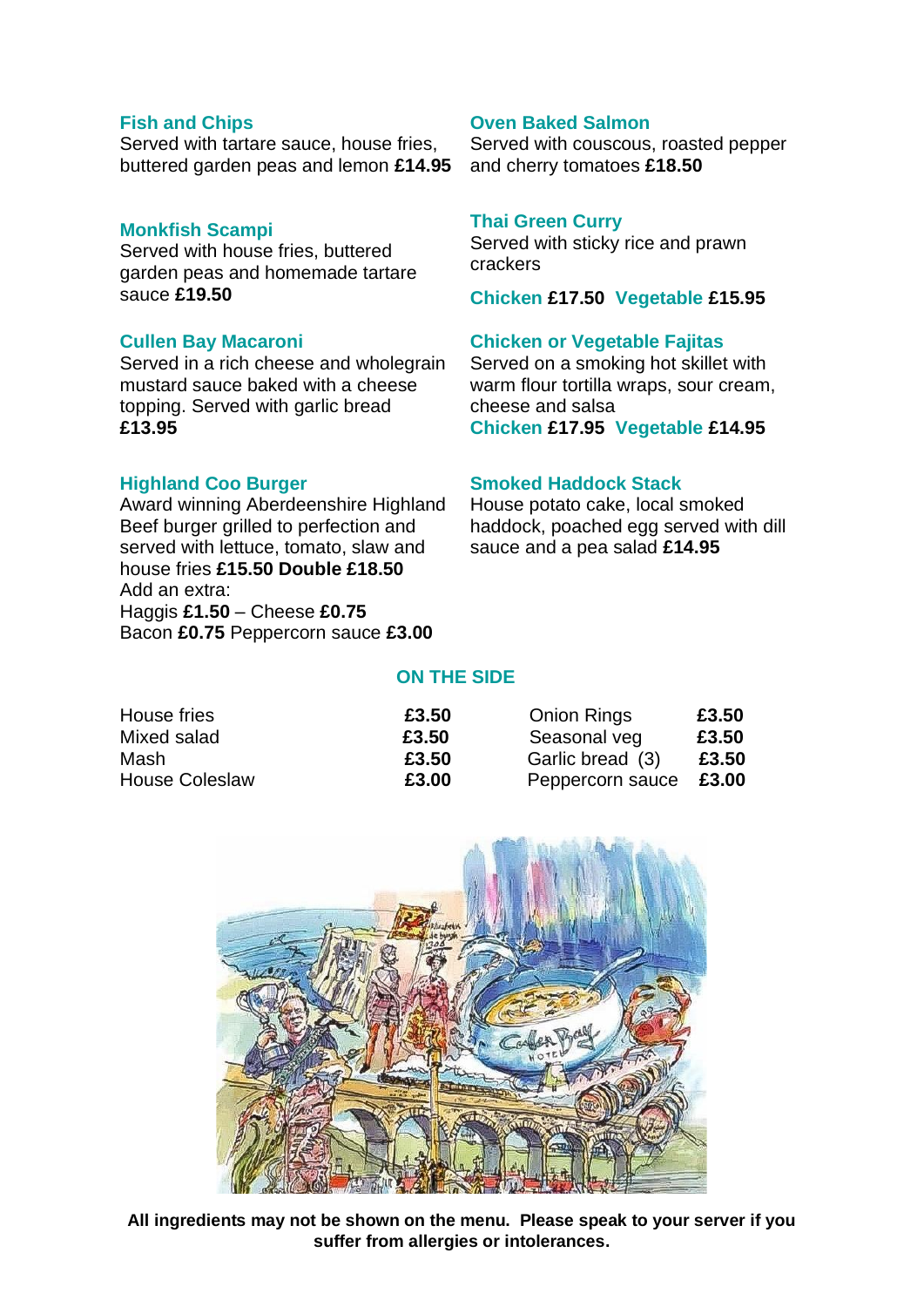#### **Fish and Chips**

Served with tartare sauce, house fries, buttered garden peas and lemon **£14.95**

### **Monkfish Scampi**

Served with house fries, buttered garden peas and homemade tartare sauce **£19.50**

### **Cullen Bay Macaroni**

Served in a rich cheese and wholegrain mustard sauce baked with a cheese topping. Served with garlic bread **£13.95**

### **Highland Coo Burger**

Award winning Aberdeenshire Highland Beef burger grilled to perfection and served with lettuce, tomato, slaw and house fries **£15.50 Double £18.50** Add an extra: Haggis **£1.50** – Cheese **£0.75** Bacon **£0.75** Peppercorn sauce **£3.00**

## **Oven Baked Salmon**

Served with couscous, roasted pepper and cherry tomatoes **£18.50**

#### **Thai Green Curry**

Served with sticky rice and prawn crackers

**Chicken £17.50 Vegetable £15.95**

### **Chicken or Vegetable Fajitas**

Served on a smoking hot skillet with warm flour tortilla wraps, sour cream, cheese and salsa **Chicken £17.95 Vegetable £14.95**

#### **Smoked Haddock Stack**

House potato cake, local smoked haddock, poached egg served with dill sauce and a pea salad **£14.95**

## **ON THE SIDE**

| House fries           | £3.50 | <b>Onion Rings</b> | £3.50 |
|-----------------------|-------|--------------------|-------|
| Mixed salad           | £3.50 | Seasonal veg       | £3.50 |
| Mash                  | £3.50 | Garlic bread (3)   | £3.50 |
| <b>House Coleslaw</b> | £3.00 | Peppercorn sauce   | £3.00 |



**All ingredients may not be shown on the menu. Please speak to your server if you suffer from allergies or intolerances.**